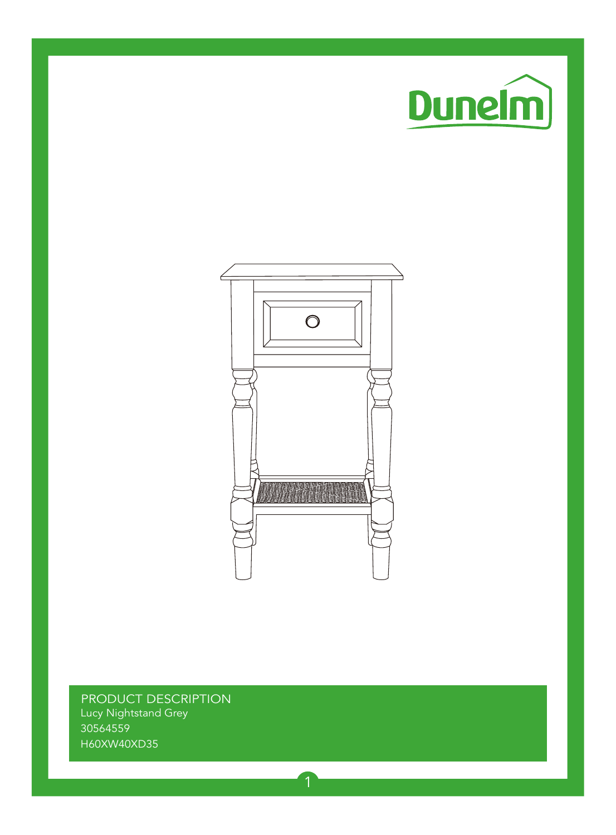



PRODUCT DESCRIPTION Lucy Nightstand Grey 30564559 H60XW40XD35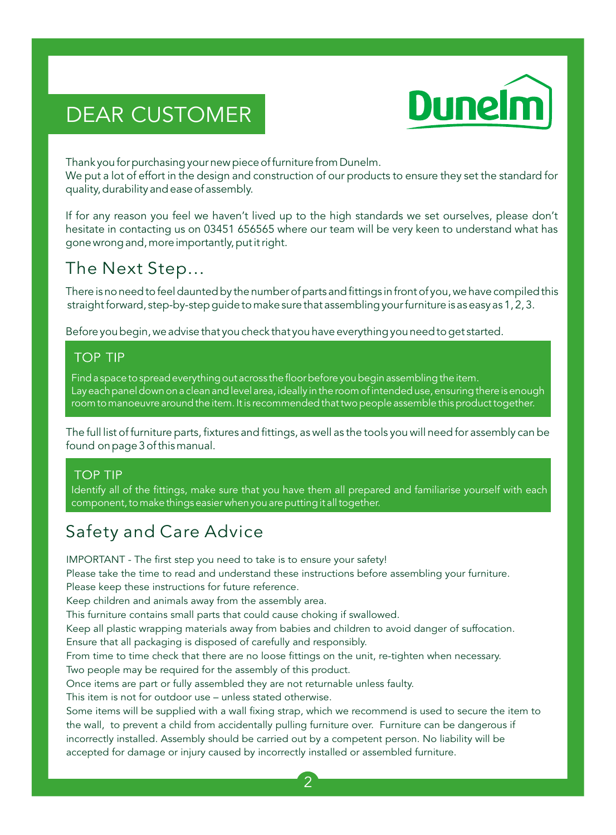# DEAR CUSTOMER



Thank you for purchasing your new piece of furniture from Dunelm.

We put a lot of effort in the design and construction of our products to ensure they set the standard for quality, durability and ease of assembly.

If for any reason you feel we haven't lived up to the high standards we set ourselves, please don't hesitate in contacting us on 03451 656565 where our team will be very keen to understand what has gone wrong and, more importantly, put it right.

## The Next Step...

There is no need to feel daunted by the number of parts and fittings in front of you, we have compiled this straight forward, step-by-step guide to make sure that assembling your furniture is as easy as 1, 2, 3.

Before you begin, we advise that you check that you have everything you need to get started.

### **TOP TIP**

Find a space to spread everything out across the floor before you begin assembling the item. Lay each panel down on a clean and level area, ideally in the room of intended use, ensuring there is enough room to manoeuvre around the item. It is recommended that two people assemble this product together.

The full list of furniture parts, fixtures and fittings, as well as the tools you will need for assembly can be found on page 3 of this manual.

#### **TOP TIP**

Identify all of the fittings, make sure that you have them all prepared and familiarise yourself with each component, to make things easier when you are putting it all together.

## Safety and Care Advice

IMPORTANT - The first step you need to take is to ensure your safety!

Please take the time to read and understand these instructions before assembling your furniture. Please keep these instructions for future reference.

Keep children and animals away from the assembly area.

This furniture contains small parts that could cause choking if swallowed.

Keep all plastic wrapping materials away from babies and children to avoid danger of suffocation.

Ensure that all packaging is disposed of carefully and responsibly.

From time to time check that there are no loose fittings on the unit, re-tighten when necessary.

Two people may be required for the assembly of this product.

Once items are part or fully assembled they are not returnable unless faulty.

This item is not for outdoor use – unless stated otherwise.

Some items will be supplied with a wall fixing strap, which we recommend is used to secure the item to the wall, to prevent a child from accidentally pulling furniture over. Furniture can be dangerous if incorrectly installed. Assembly should be carried out by a competent person. No liability will be accepted for damage or injury caused by incorrectly installed or assembled furniture.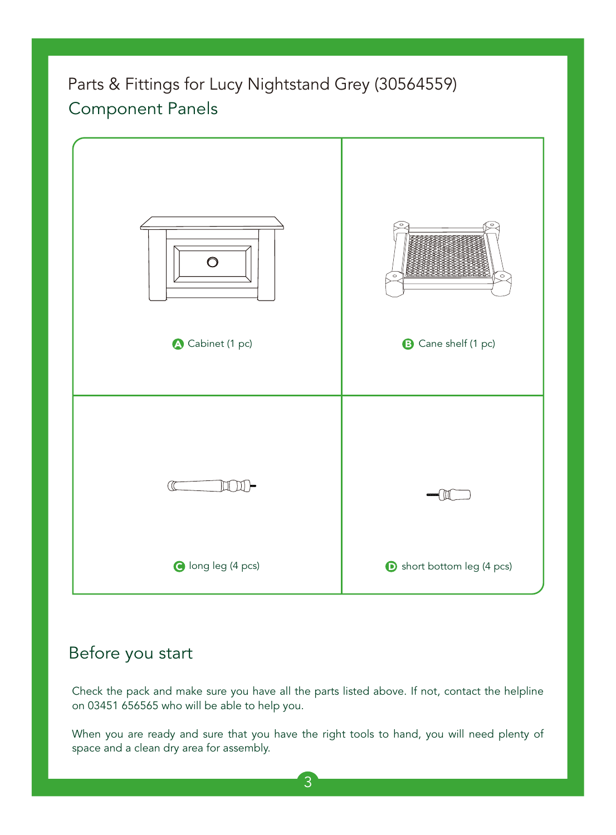## Parts & Fittings for Lucy Nightstand Grey (30564559) Component Panels



### Before you start

Check the pack and make sure you have all the parts listed above. If not, contact the helpline on 03451 656565 who will be able to help you.

When you are ready and sure that you have the right tools to hand, you will need plenty of space and a clean dry area for assembly.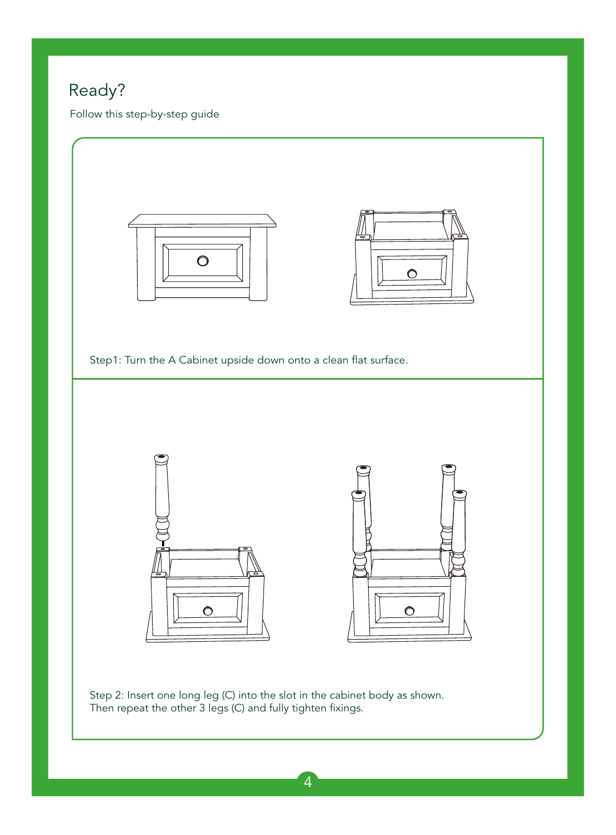## Ready?

Follow this step-by-step guide

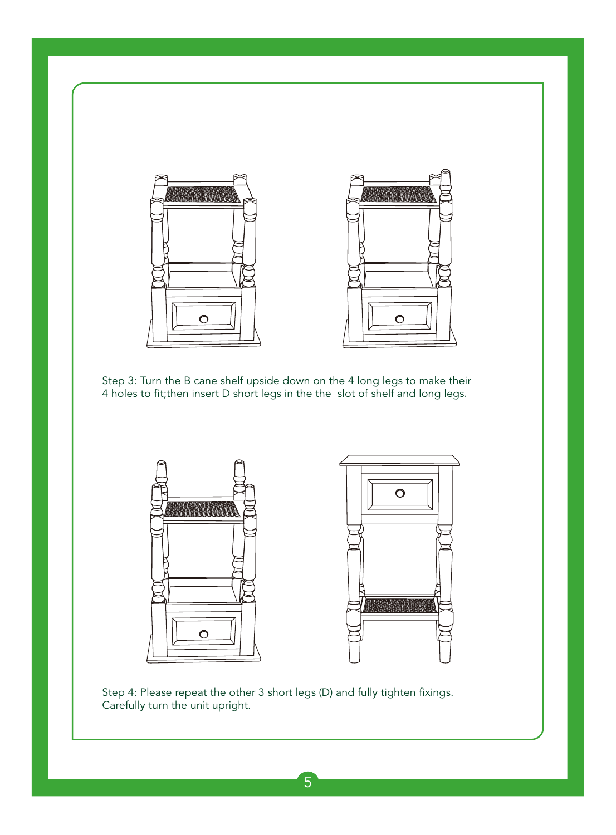

Step 3: Turn the B cane shelf upside down on the 4 long legs to make their 4 holes to fit;then insert D short legs in the the slot of shelf and long legs.



Step 4: Please repeat the other 3 short legs (D) and fully tighten fixings. Carefully turn the unit upright.